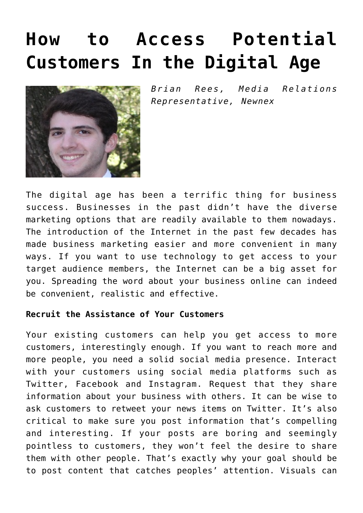# **[How to Access Potential](https://www.commpro.biz/how-to-access-potential-customers-in-the-digital-age/) [Customers In the Digital Age](https://www.commpro.biz/how-to-access-potential-customers-in-the-digital-age/)**



*Brian Rees, Media Relations Representative, [Newnex](https://www.newnex.com/)*

The digital age has been a terrific thing for business success. Businesses in the past didn't have the diverse [marketing](https://www.commpro.biz/marketing-section/) options that are readily available to them nowadays. The introduction of the Internet in the past few decades has made business marketing easier and more convenient in many ways. If you want to use technology to get access to your target audience members, the Internet can be a big asset for you. Spreading the word about your business online can indeed be convenient, realistic and effective.

### **Recruit the Assistance of Your Customers**

Your existing customers can help you get access to more customers, interestingly enough. If you want to reach more and more people, you need a solid social media presence. Interact with your customers using social media platforms such as Twitter, Facebook and Instagram. Request that they share information about your business with others. It can be wise to ask customers to retweet your news items on Twitter. It's also critical to make sure you post information that's compelling and interesting. If your posts are boring and seemingly pointless to customers, they won't feel the desire to share them with other people. That's exactly why your goal should be to post content that catches peoples' attention. Visuals can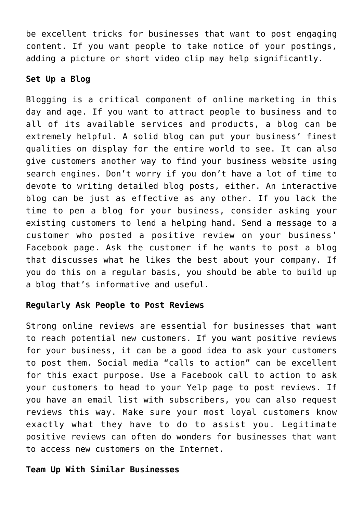be excellent tricks for businesses that want to post engaging content. If you want people to take notice of your postings, adding a picture or short video clip may help significantly.

### **Set Up a Blog**

Blogging is a critical component of online marketing in this day and age. If you want to attract people to business and to all of its available services and products, a blog can be extremely helpful. A solid blog can put your business' finest qualities on display for the entire world to see. It can also give customers another way to find your business website using search engines. Don't worry if you don't have a lot of time to devote to writing detailed blog posts, either. An interactive blog can be just as effective as any other. If you lack the time to pen a blog for your business, consider asking your existing customers to lend a helping hand. Send a message to a customer who posted a positive review on your business' Facebook page. Ask the customer if he wants to post a blog that discusses what he likes the best about your company. If you do this on a regular basis, you should be able to build up a blog that's informative and useful.

### **Regularly Ask People to Post Reviews**

Strong online reviews are essential for businesses that want to reach potential new customers. If you want positive reviews for your business, it can be a good idea to ask your customers to post them. Social media "calls to action" can be excellent for this exact purpose. Use a Facebook call to action to ask your customers to head to your Yelp page to post reviews. If you have an email list with subscribers, you can also request reviews this way. Make sure your most loyal customers know exactly what they have to do to assist you. Legitimate positive reviews can often do wonders for businesses that want to access new customers on the Internet.

## **Team Up With Similar Businesses**